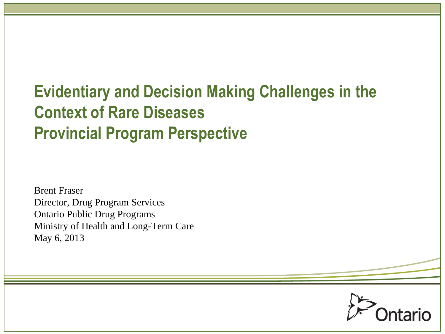## **Evidentiary and Decision Making Challenges in the Context of Rare Diseases Provincial Program Perspective**

Brent Fraser Director, Drug Program Services Ontario Public Drug Programs Ministry of Health and Long-Term Care May 6, 2013

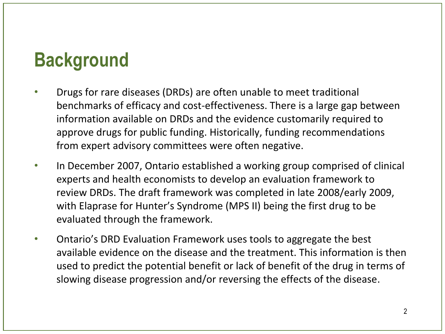## **Background**

- Drugs for rare diseases (DRDs) are often unable to meet traditional benchmarks of efficacy and cost-effectiveness. There is a large gap between information available on DRDs and the evidence customarily required to approve drugs for public funding. Historically, funding recommendations from expert advisory committees were often negative.
- In December 2007, Ontario established a working group comprised of clinical experts and health economists to develop an evaluation framework to review DRDs. The draft framework was completed in late 2008/early 2009, with Elaprase for Hunter's Syndrome (MPS II) being the first drug to be evaluated through the framework.
- Ontario's DRD Evaluation Framework uses tools to aggregate the best available evidence on the disease and the treatment. This information is then used to predict the potential benefit or lack of benefit of the drug in terms of slowing disease progression and/or reversing the effects of the disease.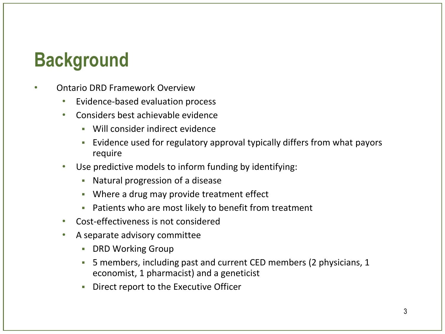## **Background**

- Ontario DRD Framework Overview
	- Evidence-based evaluation process
	- Considers best achievable evidence
		- Will consider indirect evidence
		- Evidence used for regulatory approval typically differs from what payors require
	- Use predictive models to inform funding by identifying:
		- Natural progression of a disease
		- **Where a drug may provide treatment effect**
		- Patients who are most likely to benefit from treatment
	- Cost-effectiveness is not considered
	- A separate advisory committee
		- **-** DRD Working Group
		- 5 members, including past and current CED members (2 physicians, 1 economist, 1 pharmacist) and a geneticist
		- Direct report to the Executive Officer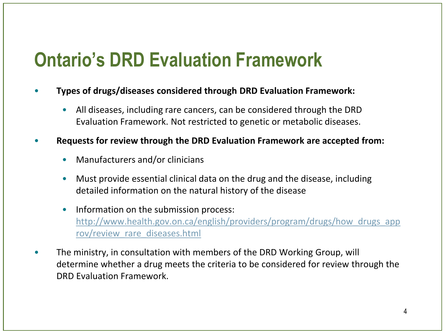# **Ontario's DRD Evaluation Framework**

- **Types of drugs/diseases considered through DRD Evaluation Framework:**
	- All diseases, including rare cancers, can be considered through the DRD Evaluation Framework. Not restricted to genetic or metabolic diseases.
- **Requests for review through the DRD Evaluation Framework are accepted from:**
	- Manufacturers and/or clinicians
	- Must provide essential clinical data on the drug and the disease, including detailed information on the natural history of the disease
	- Information on the submission process: [http://www.health.gov.on.ca/english/providers/program/drugs/how\\_drugs\\_app](http://www.health.gov.on.ca/english/providers/program/drugs/how_drugs_approv/review_rare_diseases.html) [rov/review\\_rare\\_diseases.html](http://www.health.gov.on.ca/english/providers/program/drugs/how_drugs_approv/review_rare_diseases.html)
- The ministry, in consultation with members of the DRD Working Group, will determine whether a drug meets the criteria to be considered for review through the DRD Evaluation Framework.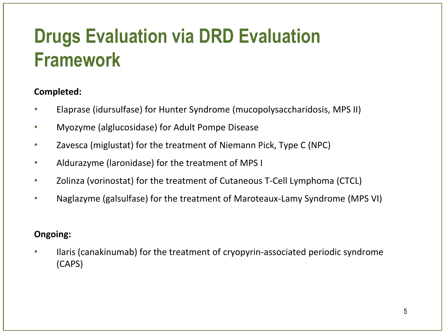# **Drugs Evaluation via DRD Evaluation Framework**

### **Completed:**

- Elaprase (idursulfase) for Hunter Syndrome (mucopolysaccharidosis, MPS II)
- Myozyme (alglucosidase) for Adult Pompe Disease
- Zavesca (miglustat) for the treatment of Niemann Pick, Type C (NPC)
- Aldurazyme (laronidase) for the treatment of MPS I
- Zolinza (vorinostat) for the treatment of Cutaneous T-Cell Lymphoma (CTCL)
- Naglazyme (galsulfase) for the treatment of Maroteaux-Lamy Syndrome (MPS VI)

### **Ongoing:**

• Ilaris (canakinumab) for the treatment of cryopyrin-associated periodic syndrome (CAPS)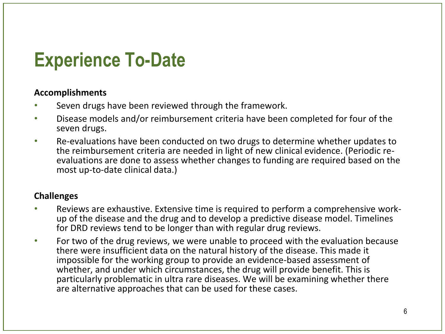## **Experience To-Date**

#### **Accomplishments**

- Seven drugs have been reviewed through the framework.
- Disease models and/or reimbursement criteria have been completed for four of the seven drugs.
- Re-evaluations have been conducted on two drugs to determine whether updates to the reimbursement criteria are needed in light of new clinical evidence. (Periodic reevaluations are done to assess whether changes to funding are required based on the most up-to-date clinical data.)

#### **Challenges**

- Reviews are exhaustive. Extensive time is required to perform a comprehensive workup of the disease and the drug and to develop a predictive disease model. Timelines for DRD reviews tend to be longer than with regular drug reviews.
- For two of the drug reviews, we were unable to proceed with the evaluation because there were insufficient data on the natural history of the disease. This made it impossible for the working group to provide an evidence-based assessment of whether, and under which circumstances, the drug will provide benefit. This is particularly problematic in ultra rare diseases. We will be examining whether there are alternative approaches that can be used for these cases.